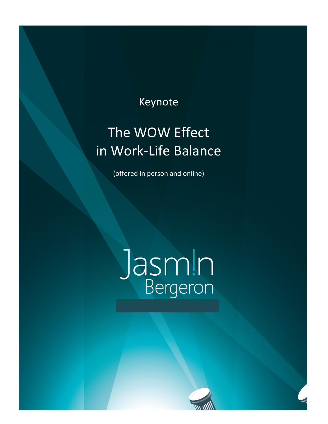# **Keynote**

# The WOW Effect in Work-Life Balance

(offered in person and online)

# **Jasmin**<br>Bergeron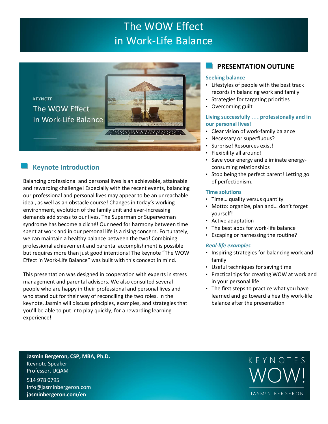## The WOW Effect in Work-Life Balance



### **Keynote Introduction**

**KEYNOTE** 

Balancing professional and personal lives is an achievable, attainable and rewarding challenge! Especially with the recent events, balancing our professional and personal lives may appear to be an unreachable ideal, as well as an obstacle course! Changes in today's working environment, evolution of the family unit and ever-increasing demands add stress to our lives. The Superman or Superwoman syndrome has become a cliché! Our need for harmony between time spent at work and in our personal life is a rising concern. Fortunately, we can maintain a healthy balance between the two! Combining professional achievement and parental accomplishment is possible but requires more than just good intentions! The keynote "The WOW Effect in Work-Life Balance" was built with this concept in mind.

This presentation was designed in cooperation with experts in stress management and parental advisors. We also consulted several people who are happy in their professional and personal lives and who stand out for their way of reconciling the two roles. In the keynote, Jasmin will discuss principles, examples, and strategies that you'll be able to put into play quickly, for a rewarding learning experience!

#### **PRESENTATION OUTLINE**

#### **Seeking balance**

- Lifestyles of people with the best track records in balancing work and family
- Strategies for targeting priorities
- Overcoming guilt

#### **Living successfully . . . professionally and in our personal lives!**

- Clear vision of work-family balance
- Necessary or superfluous?
- Surprise! Resources exist!
- Flexibility all around!
- Save your energy and eliminate energyconsuming relationships
- Stop being the perfect parent! Letting go of perfectionism.

#### **Time solutions**

- Time… quality versus quantity
- Motto: organize, plan and… don't forget yourself!
- Active adaptation
- The best apps for work-life balance
- Escaping or harnessing the routine?

#### *Real-life examples*

- Inspiring strategies for balancing work and family
- Useful techniques for saving time
- Practical tips for creating WOW at work and in your personal life
- The first steps to practice what you have learned and go toward a healthy work-life balance after the presentation

**Jasmin Bergeron, CSP, MBA, Ph.D.** Keynote Speaker Professor, UQAM

514 978 0795 info@jasminbergeron.com **jasminbergeron.com/en**